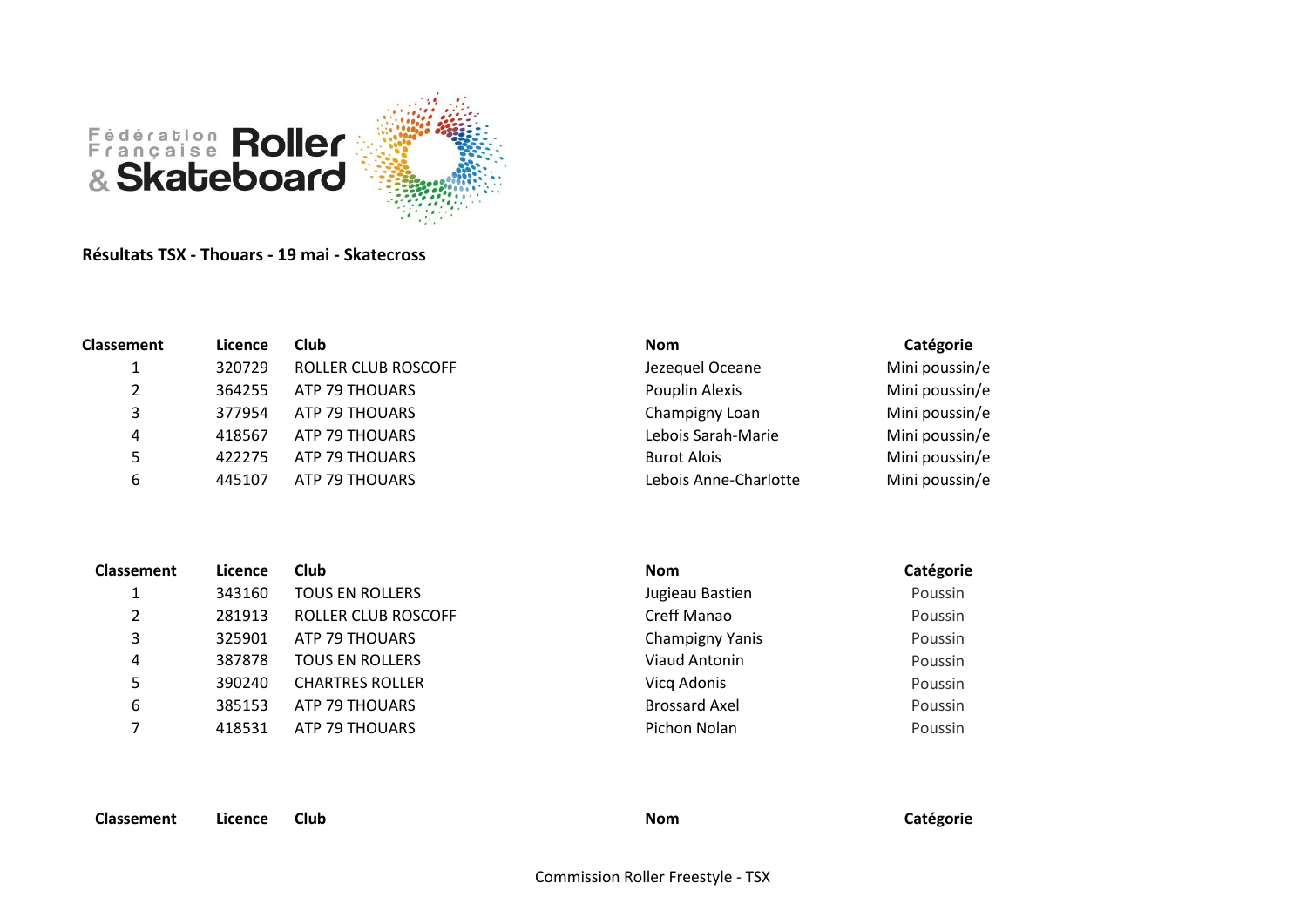

**Résultats TSX - Thouars - 19 mai - Skatecross**

| <b>Classement</b> | Licence | <b>Club</b>                | <b>Nom</b>            | Catégorie      |
|-------------------|---------|----------------------------|-----------------------|----------------|
|                   | 320729  | <b>ROLLER CLUB ROSCOFF</b> | Jezequel Oceane       | Mini poussin/e |
|                   | 364255  | ATP 79 THOUARS             | Pouplin Alexis        | Mini poussin/e |
| 3                 | 377954  | ATP 79 THOUARS             | Champigny Loan        | Mini poussin/e |
| 4                 | 418567  | ATP 79 THOUARS             | Lebois Sarah-Marie    | Mini poussin/e |
| 5                 | 422275  | ATP 79 THOUARS             | <b>Burot Alois</b>    | Mini poussin/e |
| 6                 | 445107  | ATP 79 THOUARS             | Lebois Anne-Charlotte | Mini poussin/e |
|                   |         |                            |                       |                |

| <b>Classement</b> | Licence | Club                   | <b>Nom</b>           | Catégorie |
|-------------------|---------|------------------------|----------------------|-----------|
|                   | 343160  | <b>TOUS EN ROLLERS</b> | Jugieau Bastien      | Poussin   |
| 2                 | 281913  | ROLLER CLUB ROSCOFF    | Creff Manao          | Poussin   |
| 3                 | 325901  | ATP 79 THOUARS         | Champigny Yanis      | Poussin   |
| 4                 | 387878  | <b>TOUS EN ROLLERS</b> | Viaud Antonin        | Poussin   |
|                   | 390240  | <b>CHARTRES ROLLER</b> | Vicq Adonis          | Poussin   |
| 6                 | 385153  | ATP 79 THOUARS         | <b>Brossard Axel</b> | Poussin   |
|                   | 418531  | ATP 79 THOUARS         | Pichon Nolan         | Poussin   |
|                   |         |                        |                      |           |

**Classement Licence Club Nom Catégorie**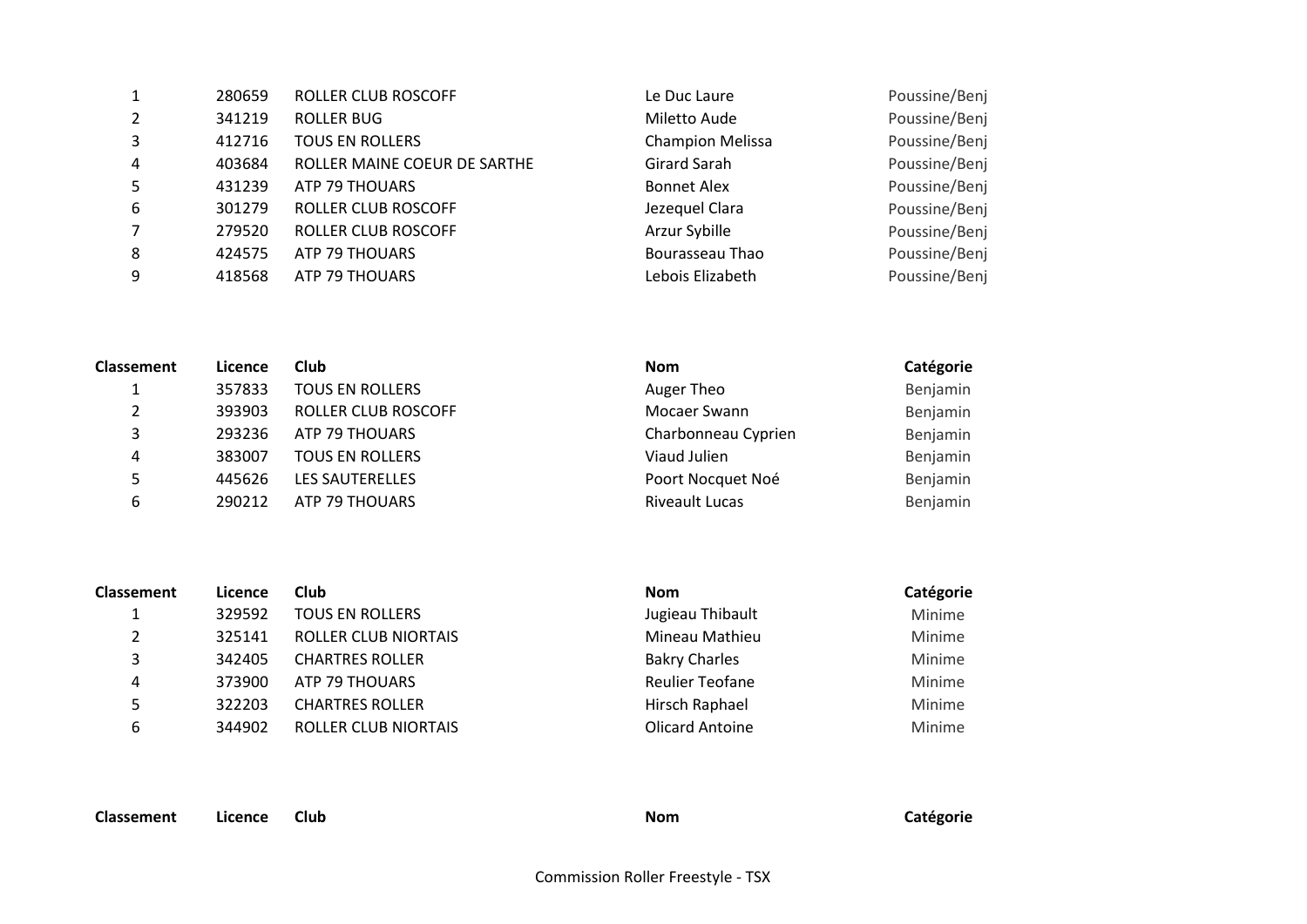| 1              | 280659 | <b>ROLLER CLUB ROSCOFF</b>   | Le Duc Laure            | Poussine/Benj |
|----------------|--------|------------------------------|-------------------------|---------------|
| 2              | 341219 | <b>ROLLER BUG</b>            | Miletto Aude            | Poussine/Benj |
| 3              | 412716 | <b>TOUS EN ROLLERS</b>       | <b>Champion Melissa</b> | Poussine/Benj |
| $\overline{4}$ | 403684 | ROLLER MAINE COEUR DE SARTHE | Girard Sarah            | Poussine/Benj |
| 5              | 431239 | ATP 79 THOUARS               | <b>Bonnet Alex</b>      | Poussine/Benj |
| 6              | 301279 | <b>ROLLER CLUB ROSCOFF</b>   | Jezequel Clara          | Poussine/Benj |
| $\overline{7}$ | 279520 | ROLLER CLUB ROSCOFF          | Arzur Sybille           | Poussine/Benj |
| 8              | 424575 | ATP 79 THOUARS               | Bourasseau Thao         | Poussine/Benj |
| 9              | 418568 | ATP 79 THOUARS               | Lebois Elizabeth        | Poussine/Benj |
|                |        |                              |                         |               |

| <b>Classement</b> | Licence | <b>Club</b>            | <b>Nom</b>            | Catégorie |
|-------------------|---------|------------------------|-----------------------|-----------|
|                   | 357833  | <b>TOUS EN ROLLERS</b> | Auger Theo            | Benjamin  |
|                   | 393903  | ROLLER CLUB ROSCOFF    | Mocaer Swann          | Benjamin  |
| 3                 | 293236  | ATP 79 THOUARS         | Charbonneau Cyprien   | Benjamin  |
| 4                 | 383007  | <b>TOUS EN ROLLERS</b> | Viaud Julien          | Benjamin  |
| 5                 | 445626  | LES SAUTERELLES        | Poort Nocquet Noé     | Benjamin  |
| 6                 | 290212  | ATP 79 THOUARS         | <b>Riveault Lucas</b> | Benjamin  |

| <b>Classement</b> | Licence | Club                        | <b>Nom</b>             | Catégorie |
|-------------------|---------|-----------------------------|------------------------|-----------|
|                   | 329592  | <b>TOUS EN ROLLERS</b>      | Jugieau Thibault       | Minime    |
|                   | 325141  | ROLLER CLUB NIORTAIS        | Mineau Mathieu         | Minime    |
| 3                 | 342405  | <b>CHARTRES ROLLER</b>      | <b>Bakry Charles</b>   | Minime    |
| 4                 | 373900  | ATP 79 THOUARS              | <b>Reulier Teofane</b> | Minime    |
| 5                 | 322203  | <b>CHARTRES ROLLER</b>      | Hirsch Raphael         | Minime    |
| 6                 | 344902  | <b>ROLLER CLUB NIORTAIS</b> | <b>Olicard Antoine</b> | Minime    |

**Classement Licence Club Nom Catégorie**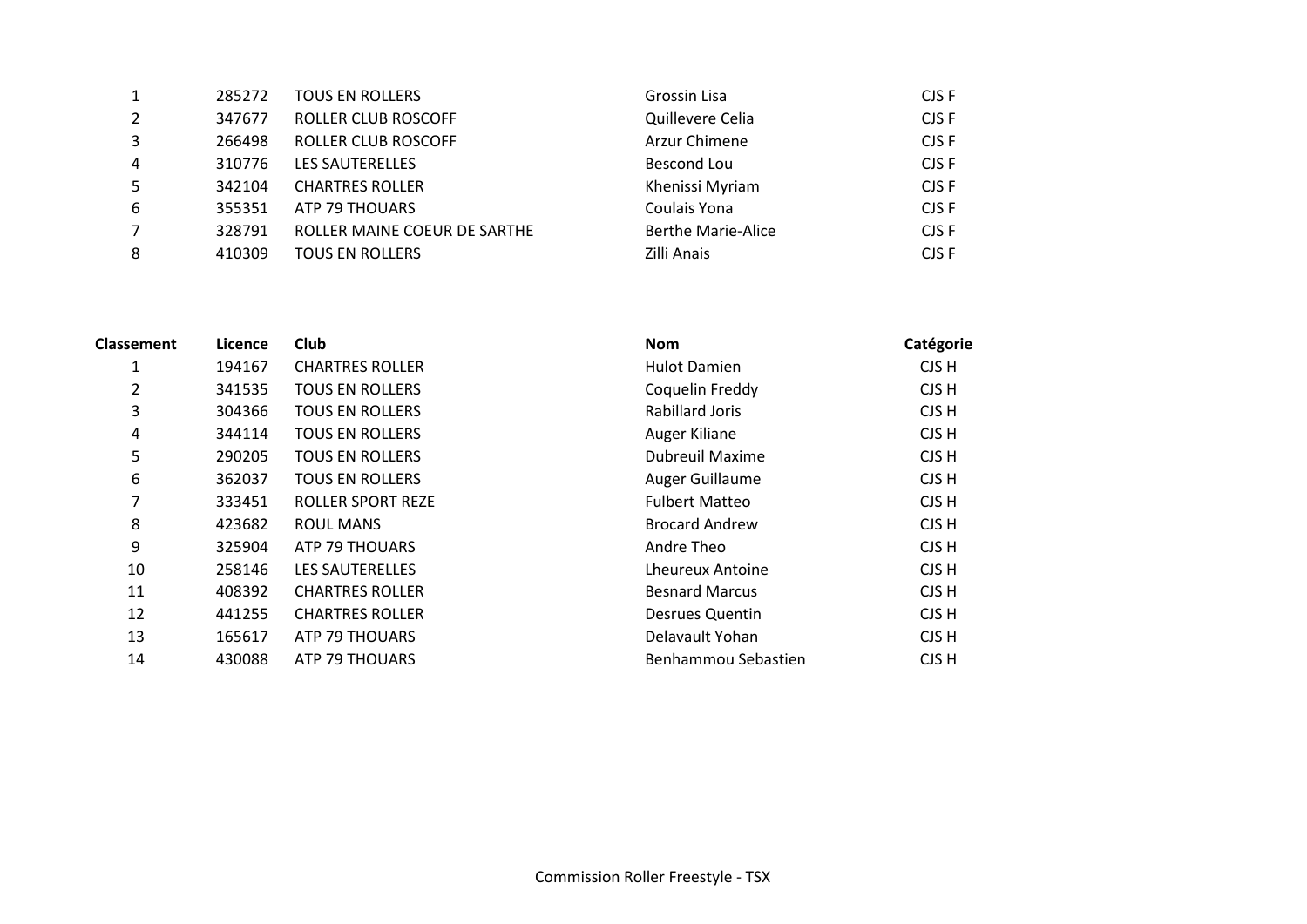| 1              | 285272 | <b>TOUS EN ROLLERS</b>       | Grossin Lisa              | CJS F |
|----------------|--------|------------------------------|---------------------------|-------|
| 2              | 347677 | ROLLER CLUB ROSCOFF          | Quillevere Celia          | CJS F |
| 3              | 266498 | ROLLER CLUB ROSCOFF          | Arzur Chimene             | CJS F |
| $\overline{4}$ | 310776 | LES SAUTERELLES              | Bescond Lou               | CJS F |
| 5              | 342104 | <b>CHARTRES ROLLER</b>       | Khenissi Myriam           | CJS F |
| 6              | 355351 | ATP 79 THOUARS               | Coulais Yona              | CJS F |
| $\overline{7}$ | 328791 | ROLLER MAINE COEUR DE SARTHE | <b>Berthe Marie-Alice</b> | CJS F |
| 8              | 410309 | <b>TOUS EN ROLLERS</b>       | Zilli Anais               | CJS F |

| <b>Classement</b> | Licence | Club                     | <b>Nom</b>              | Catégorie |
|-------------------|---------|--------------------------|-------------------------|-----------|
| 1                 | 194167  | <b>CHARTRES ROLLER</b>   | <b>Hulot Damien</b>     | CJS H     |
| 2                 | 341535  | <b>TOUS EN ROLLERS</b>   | Coquelin Freddy         | CJS H     |
| 3                 | 304366  | <b>TOUS EN ROLLERS</b>   | <b>Rabillard Joris</b>  | CJS H     |
| 4                 | 344114  | <b>TOUS EN ROLLERS</b>   | Auger Kiliane           | CJS H     |
| 5                 | 290205  | <b>TOUS EN ROLLERS</b>   | <b>Dubreuil Maxime</b>  | CJS H     |
| 6                 | 362037  | <b>TOUS EN ROLLERS</b>   | Auger Guillaume         | CJS H     |
| 7                 | 333451  | <b>ROLLER SPORT REZE</b> | <b>Fulbert Matteo</b>   | CJS H     |
| 8                 | 423682  | <b>ROUL MANS</b>         | <b>Brocard Andrew</b>   | CJS H     |
| 9                 | 325904  | ATP 79 THOUARS           | Andre Theo              | CJS H     |
| 10                | 258146  | LES SAUTERELLES          | <b>Lheureux Antoine</b> | CJS H     |
| 11                | 408392  | <b>CHARTRES ROLLER</b>   | <b>Besnard Marcus</b>   | CJS H     |
| 12                | 441255  | <b>CHARTRES ROLLER</b>   | <b>Desrues Quentin</b>  | CJS H     |
| 13                | 165617  | ATP 79 THOUARS           | Delavault Yohan         | CJS H     |
| 14                | 430088  | ATP 79 THOUARS           | Benhammou Sebastien     | CJS H     |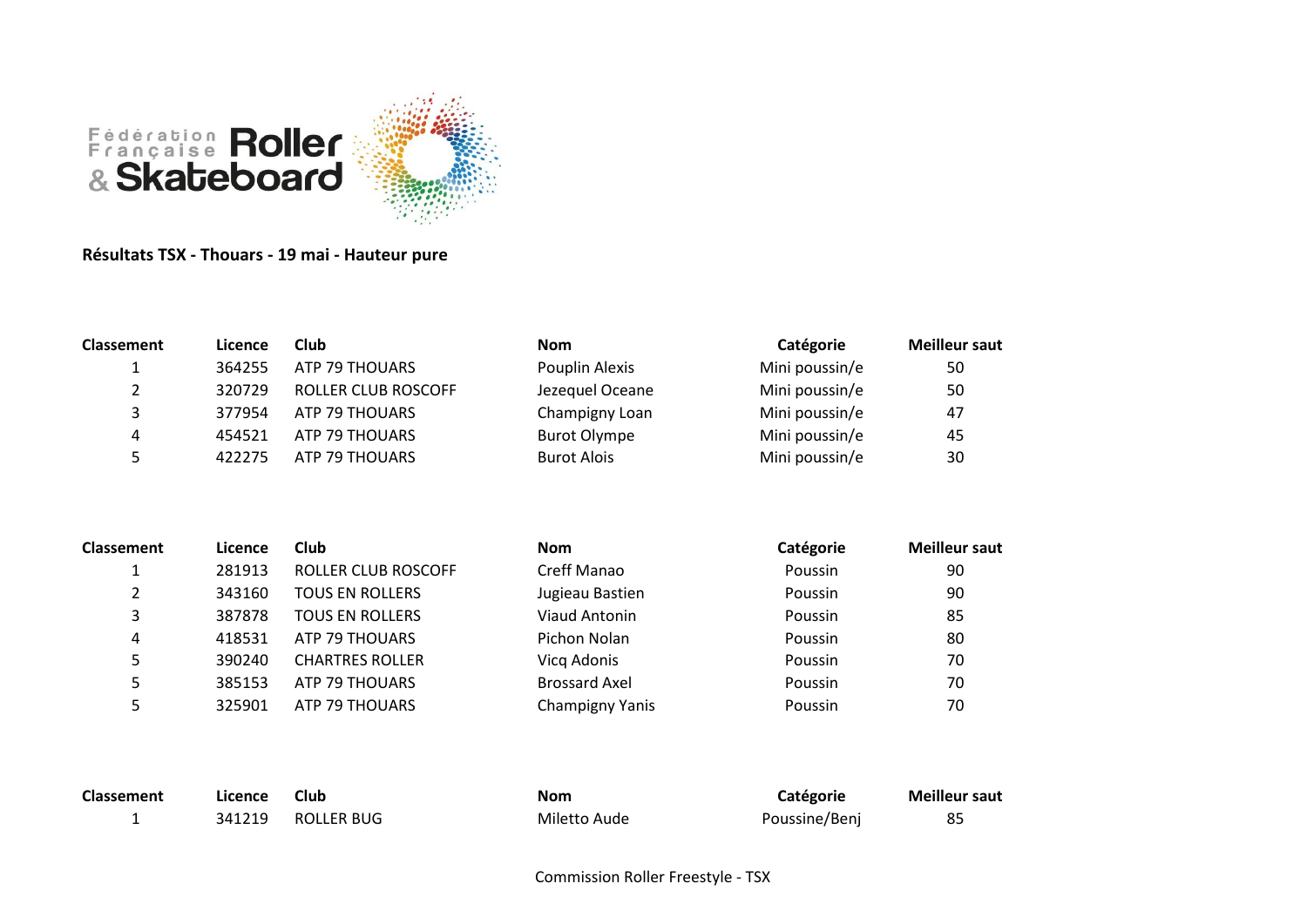

## **Résultats TSX - Thouars - 19 mai - Hauteur pure**

| <b>Classement</b> | Licence | Club                | <b>Nom</b>          | Catégorie      | <b>Meilleur saut</b> |
|-------------------|---------|---------------------|---------------------|----------------|----------------------|
| <b>.</b>          | 364255  | ATP 79 THOUARS      | Pouplin Alexis      | Mini poussin/e | 50                   |
|                   | 320729  | ROLLER CLUB ROSCOFF | Jezequel Oceane     | Mini poussin/e | 50                   |
| 3                 | 377954  | ATP 79 THOUARS      | Champigny Loan      | Mini poussin/e | 47                   |
| 4                 | 454521  | ATP 79 THOUARS      | <b>Burot Olympe</b> | Mini poussin/e | 45                   |
| 5.                | 422275  | ATP 79 THOUARS      | <b>Burot Alois</b>  | Mini poussin/e | 30                   |

| <b>Classement</b> | Licence | Club                   | <b>Nom</b>           | Catégorie | <b>Meilleur saut</b> |
|-------------------|---------|------------------------|----------------------|-----------|----------------------|
|                   | 281913  | ROLLER CLUB ROSCOFF    | Creff Manao          | Poussin   | 90                   |
|                   | 343160  | <b>TOUS EN ROLLERS</b> | Jugieau Bastien      | Poussin   | 90                   |
| 3                 | 387878  | <b>TOUS EN ROLLERS</b> | <b>Viaud Antonin</b> | Poussin   | 85                   |
| 4                 | 418531  | ATP 79 THOUARS         | Pichon Nolan         | Poussin   | 80                   |
| 5                 | 390240  | <b>CHARTRES ROLLER</b> | Vicq Adonis          | Poussin   | 70                   |
| 5                 | 385153  | ATP 79 THOUARS         | <b>Brossard Axel</b> | Poussin   | 70                   |
| 5                 | 325901  | ATP 79 THOUARS         | Champigny Yanis      | Poussin   | 70                   |

| <b>Classement</b> | Licence | Club       | <b>Nom</b>   | Catégorie     | <b>Meilleur saut</b> |
|-------------------|---------|------------|--------------|---------------|----------------------|
|                   | 341219  | ROLLER BUG | Miletto Aude | Poussine/Benj |                      |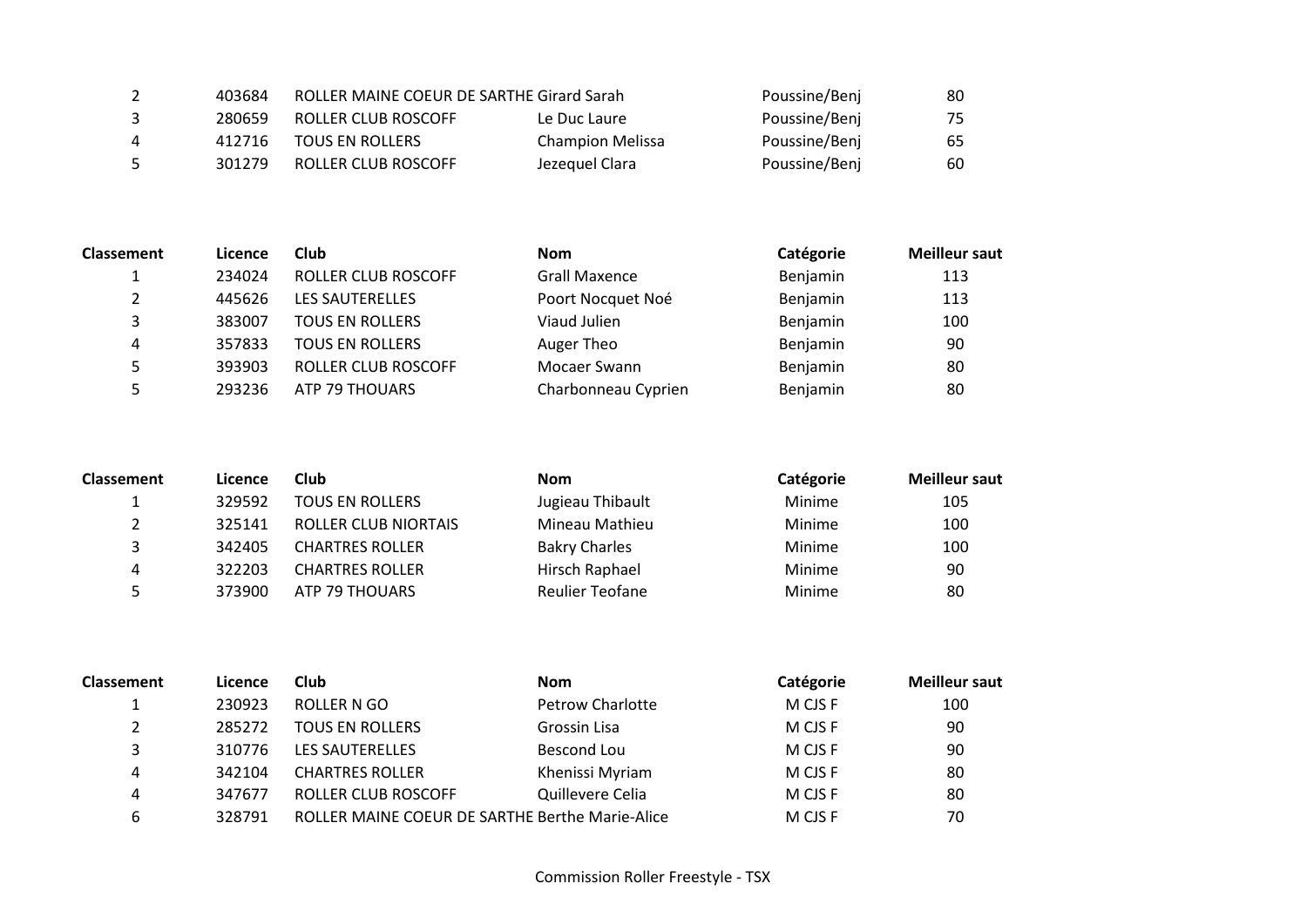| 2 | 403684 | ROLLER MAINE COEUR DE SARTHE Girard Sarah |                         | Poussine/Benj | 80  |
|---|--------|-------------------------------------------|-------------------------|---------------|-----|
| 3 | 280659 | ROLLER CLUB ROSCOFF                       | Le Duc Laure            | Poussine/Benj | 75. |
| 4 | 412716 | <b>TOUS EN ROLLERS</b>                    | <b>Champion Melissa</b> | Poussine/Benj | 65  |
| 5 | 301279 | ROLLER CLUB ROSCOFF                       | Jezeguel Clara          | Poussine/Benj | 60  |

| <b>Classement</b> | Licence | Club                   | <b>Nom</b>           | Catégorie | <b>Meilleur saut</b> |
|-------------------|---------|------------------------|----------------------|-----------|----------------------|
|                   | 234024  | ROLLER CLUB ROSCOFF    | <b>Grall Maxence</b> | Benjamin  | 113                  |
| 2                 | 445626  | LES SAUTERELLES        | Poort Nocquet Noé    | Benjamin  | 113                  |
| 3                 | 383007  | <b>TOUS EN ROLLERS</b> | Viaud Julien         | Benjamin  | 100                  |
| 4                 | 357833  | <b>TOUS EN ROLLERS</b> | Auger Theo           | Benjamin  | 90                   |
| Ь                 | 393903  | ROLLER CLUB ROSCOFF    | Mocaer Swann         | Benjamin  | -80                  |
| 5                 | 293236  | ATP 79 THOUARS         | Charbonneau Cyprien  | Benjamin  | 80                   |

| <b>Classement</b> | Licence | Club                        | <b>Nom</b>             | Catégorie | <b>Meilleur saut</b> |
|-------------------|---------|-----------------------------|------------------------|-----------|----------------------|
| ш.                | 329592  | <b>TOUS EN ROLLERS</b>      | Jugieau Thibault       | Minime    | 105                  |
| 2                 | 325141  | <b>ROLLER CLUB NIORTAIS</b> | Mineau Mathieu         | Minime    | 100                  |
| 3                 | 342405  | <b>CHARTRES ROLLER</b>      | <b>Bakry Charles</b>   | Minime    | 100                  |
| 4                 | 322203  | <b>CHARTRES ROLLER</b>      | Hirsch Raphael         | Minime    | 90                   |
| Ь                 | 373900  | ATP 79 THOUARS              | <b>Reulier Teofane</b> | Minime    | 80                   |

| <b>Classement</b> | Licence | Club                                            | <b>Nom</b>              | Catégorie | <b>Meilleur saut</b> |
|-------------------|---------|-------------------------------------------------|-------------------------|-----------|----------------------|
|                   | 230923  | ROLLER N GO                                     | <b>Petrow Charlotte</b> | M CJS F   | 100                  |
| 2                 | 285272  | <b>TOUS EN ROLLERS</b>                          | Grossin Lisa            | M CJS F   | 90                   |
| 3                 | 310776  | LES SAUTERELLES                                 | Bescond Lou             | M CJS F   | 90                   |
| 4                 | 342104  | <b>CHARTRES ROLLER</b>                          | Khenissi Myriam         | M CJS F   | 80                   |
| 4                 | 347677  | ROLLER CLUB ROSCOFF                             | Quillevere Celia        | M CJS F   | 80                   |
| 6                 | 328791  | ROLLER MAINE COEUR DE SARTHE Berthe Marie-Alice |                         | M CJS F   | 70                   |